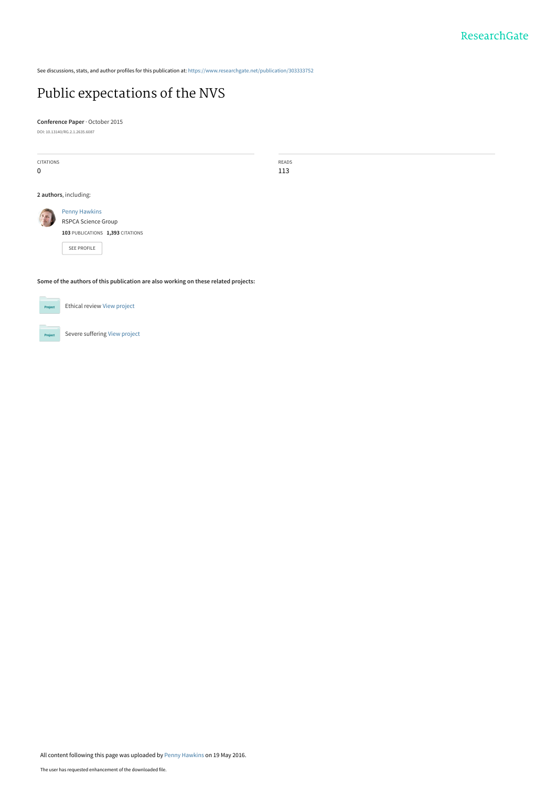See discussions, stats, and author profiles for this publication at: [https://www.researchgate.net/publication/303333752](https://www.researchgate.net/publication/303333752_Public_expectations_of_the_NVS?enrichId=rgreq-71049eefe447687f74fcef3cbef98700-XXX&enrichSource=Y292ZXJQYWdlOzMwMzMzMzc1MjtBUzozNjMzNTc5NjcyNzM5ODRAMTQ2MzY0MjY5ODI4MA%3D%3D&el=1_x_2&_esc=publicationCoverPdf)

# [Public expectations of the NVS](https://www.researchgate.net/publication/303333752_Public_expectations_of_the_NVS?enrichId=rgreq-71049eefe447687f74fcef3cbef98700-XXX&enrichSource=Y292ZXJQYWdlOzMwMzMzMzc1MjtBUzozNjMzNTc5NjcyNzM5ODRAMTQ2MzY0MjY5ODI4MA%3D%3D&el=1_x_3&_esc=publicationCoverPdf)

**Conference Paper** · October 2015

DOI: 10.13140/RG.2.1.2635.6087

| CITATIONS<br>$\mathbf 0$                                                            |                                                        | READS<br>113 |
|-------------------------------------------------------------------------------------|--------------------------------------------------------|--------------|
| 2 authors, including:                                                               |                                                        |              |
|                                                                                     | <b>Penny Hawkins</b><br>RSPCA Science Group            |              |
|                                                                                     | 103 PUBLICATIONS 1,393 CITATIONS<br><b>SEE PROFILE</b> |              |
| Some of the authors of this publication are also working on these related projects: |                                                        |              |



Severe suffering [View project](https://www.researchgate.net/project/Severe-suffering?enrichId=rgreq-71049eefe447687f74fcef3cbef98700-XXX&enrichSource=Y292ZXJQYWdlOzMwMzMzMzc1MjtBUzozNjMzNTc5NjcyNzM5ODRAMTQ2MzY0MjY5ODI4MA%3D%3D&el=1_x_9&_esc=publicationCoverPdf) Project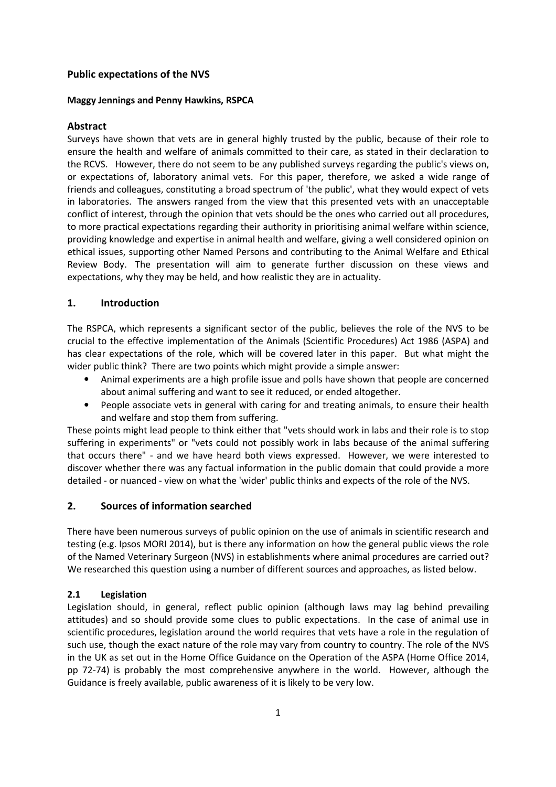## **Public expectations of the NVS**

#### **Maggy Jennings and Penny Hawkins, RSPCA**

#### **Abstract**

Surveys have shown that vets are in general highly trusted by the public, because of their role to ensure the health and welfare of animals committed to their care, as stated in their declaration to the RCVS. However, there do not seem to be any published surveys regarding the public's views on, or expectations of, laboratory animal vets. For this paper, therefore, we asked a wide range of friends and colleagues, constituting a broad spectrum of 'the public', what they would expect of vets in laboratories. The answers ranged from the view that this presented vets with an unacceptable conflict of interest, through the opinion that vets should be the ones who carried out all procedures, to more practical expectations regarding their authority in prioritising animal welfare within science, providing knowledge and expertise in animal health and welfare, giving a well considered opinion on ethical issues, supporting other Named Persons and contributing to the Animal Welfare and Ethical Review Body. The presentation will aim to generate further discussion on these views and expectations, why they may be held, and how realistic they are in actuality.

#### **1. Introduction**

The RSPCA, which represents a significant sector of the public, believes the role of the NVS to be crucial to the effective implementation of the Animals (Scientific Procedures) Act 1986 (ASPA) and has clear expectations of the role, which will be covered later in this paper. But what might the wider public think? There are two points which might provide a simple answer:

- Animal experiments are a high profile issue and polls have shown that people are concerned about animal suffering and want to see it reduced, or ended altogether.
- People associate vets in general with caring for and treating animals, to ensure their health and welfare and stop them from suffering.

These points might lead people to think either that "vets should work in labs and their role is to stop suffering in experiments" or "vets could not possibly work in labs because of the animal suffering that occurs there" - and we have heard both views expressed. However, we were interested to discover whether there was any factual information in the public domain that could provide a more detailed - or nuanced - view on what the 'wider' public thinks and expects of the role of the NVS.

#### **2. Sources of information searched**

There have been numerous surveys of public opinion on the use of animals in scientific research and testing (e.g. Ipsos MORI 2014), but is there any information on how the general public views the role of the Named Veterinary Surgeon (NVS) in establishments where animal procedures are carried out? We researched this question using a number of different sources and approaches, as listed below.

#### **2.1 Legislation**

Legislation should, in general, reflect public opinion (although laws may lag behind prevailing attitudes) and so should provide some clues to public expectations. In the case of animal use in scientific procedures, legislation around the world requires that vets have a role in the regulation of such use, though the exact nature of the role may vary from country to country. The role of the NVS in the UK as set out in the Home Office Guidance on the Operation of the ASPA (Home Office 2014, pp 72-74) is probably the most comprehensive anywhere in the world. However, although the Guidance is freely available, public awareness of it is likely to be very low.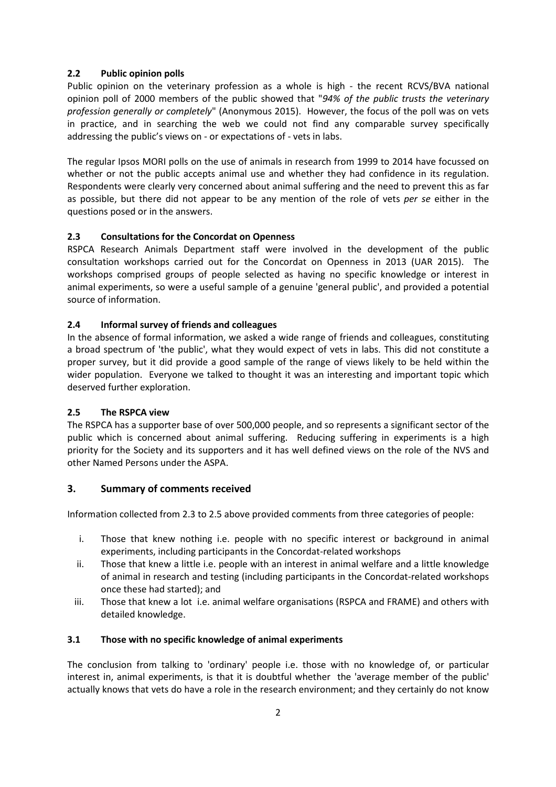## **2.2 Public opinion polls**

Public opinion on the veterinary profession as a whole is high - the recent RCVS/BVA national opinion poll of 2000 members of the public showed that "*94% of the public trusts the veterinary profession generally or completely*" (Anonymous 2015). However, the focus of the poll was on vets in practice, and in searching the web we could not find any comparable survey specifically addressing the public's views on - or expectations of - vets in labs.

The regular Ipsos MORI polls on the use of animals in research from 1999 to 2014 have focussed on whether or not the public accepts animal use and whether they had confidence in its regulation. Respondents were clearly very concerned about animal suffering and the need to prevent this as far as possible, but there did not appear to be any mention of the role of vets *per se* either in the questions posed or in the answers.

# **2.3 Consultations for the Concordat on Openness**

RSPCA Research Animals Department staff were involved in the development of the public consultation workshops carried out for the Concordat on Openness in 2013 (UAR 2015). The workshops comprised groups of people selected as having no specific knowledge or interest in animal experiments, so were a useful sample of a genuine 'general public', and provided a potential source of information.

## **2.4 Informal survey of friends and colleagues**

In the absence of formal information, we asked a wide range of friends and colleagues, constituting a broad spectrum of 'the public', what they would expect of vets in labs. This did not constitute a proper survey, but it did provide a good sample of the range of views likely to be held within the wider population. Everyone we talked to thought it was an interesting and important topic which deserved further exploration.

#### **2.5 The RSPCA view**

The RSPCA has a supporter base of over 500,000 people, and so represents a significant sector of the public which is concerned about animal suffering. Reducing suffering in experiments is a high priority for the Society and its supporters and it has well defined views on the role of the NVS and other Named Persons under the ASPA.

# **3. Summary of comments received**

Information collected from 2.3 to 2.5 above provided comments from three categories of people:

- i. Those that knew nothing i.e. people with no specific interest or background in animal experiments, including participants in the Concordat-related workshops
- ii. Those that knew a little i.e. people with an interest in animal welfare and a little knowledge of animal in research and testing (including participants in the Concordat-related workshops once these had started); and
- iii. Those that knew a lot i.e. animal welfare organisations (RSPCA and FRAME) and others with detailed knowledge.

#### **3.1 Those with no specific knowledge of animal experiments**

The conclusion from talking to 'ordinary' people i.e. those with no knowledge of, or particular interest in, animal experiments, is that it is doubtful whether the 'average member of the public' actually knows that vets do have a role in the research environment; and they certainly do not know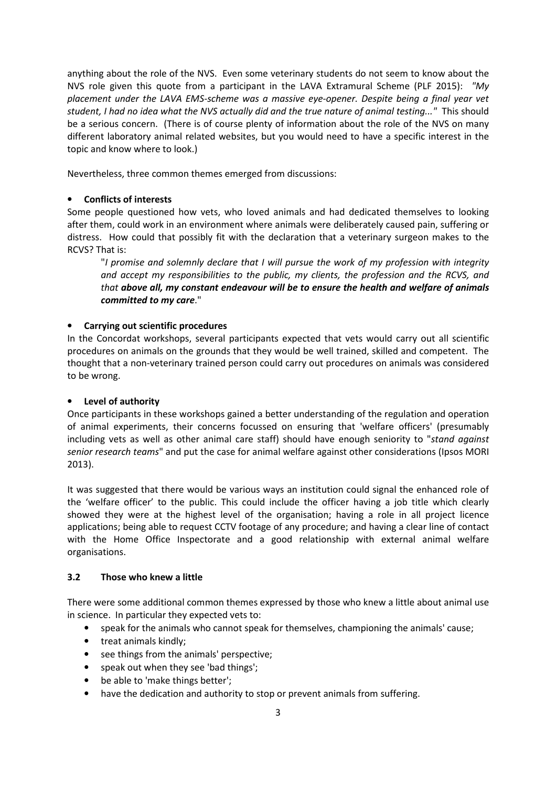anything about the role of the NVS. Even some veterinary students do not seem to know about the NVS role given this quote from a participant in the LAVA Extramural Scheme (PLF 2015): *"My placement under the LAVA EMS-scheme was a massive eye-opener. Despite being a final year vet student, I had no idea what the NVS actually did and the true nature of animal testing..."* This should be a serious concern. (There is of course plenty of information about the role of the NVS on many different laboratory animal related websites, but you would need to have a specific interest in the topic and know where to look.)

Nevertheless, three common themes emerged from discussions:

## • **Conflicts of interests**

Some people questioned how vets, who loved animals and had dedicated themselves to looking after them, could work in an environment where animals were deliberately caused pain, suffering or distress. How could that possibly fit with the declaration that a veterinary surgeon makes to the RCVS? That is:

 "*I promise and solemnly declare that I will pursue the work of my profession with integrity and accept my responsibilities to the public, my clients, the profession and the RCVS, and that above all, my constant endeavour will be to ensure the health and welfare of animals committed to my care*."

## • **Carrying out scientific procedures**

In the Concordat workshops, several participants expected that vets would carry out all scientific procedures on animals on the grounds that they would be well trained, skilled and competent. The thought that a non-veterinary trained person could carry out procedures on animals was considered to be wrong.

#### • **Level of authority**

Once participants in these workshops gained a better understanding of the regulation and operation of animal experiments, their concerns focussed on ensuring that 'welfare officers' (presumably including vets as well as other animal care staff) should have enough seniority to "*stand against senior research teams*" and put the case for animal welfare against other considerations (Ipsos MORI 2013).

It was suggested that there would be various ways an institution could signal the enhanced role of the 'welfare officer' to the public. This could include the officer having a job title which clearly showed they were at the highest level of the organisation; having a role in all project licence applications; being able to request CCTV footage of any procedure; and having a clear line of contact with the Home Office Inspectorate and a good relationship with external animal welfare organisations.

#### **3.2 Those who knew a little**

There were some additional common themes expressed by those who knew a little about animal use in science. In particular they expected vets to:

- speak for the animals who cannot speak for themselves, championing the animals' cause;
- treat animals kindly;
- see things from the animals' perspective;
- speak out when they see 'bad things';
- be able to 'make things better';
- have the dedication and authority to stop or prevent animals from suffering.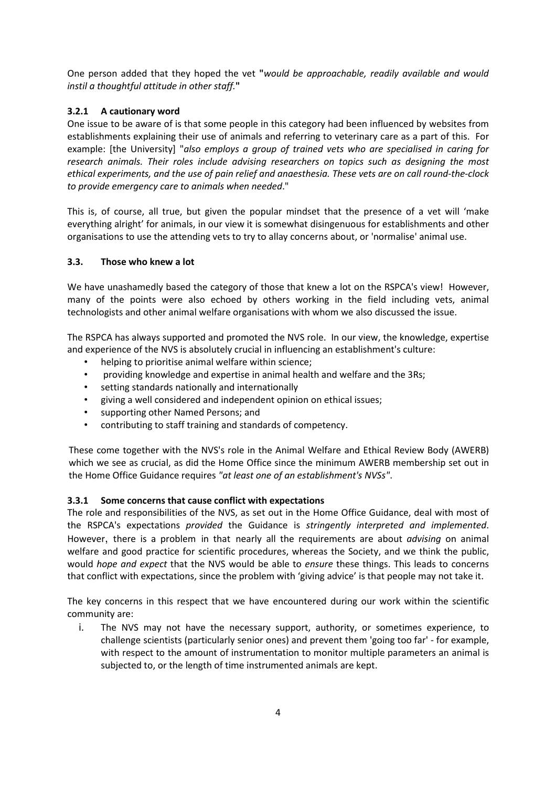One person added that they hoped the vet **"***would be approachable, readily available and would instil a thoughtful attitude in other staff.***"** 

# **3.2.1 A cautionary word**

One issue to be aware of is that some people in this category had been influenced by websites from establishments explaining their use of animals and referring to veterinary care as a part of this. For example: [the University] "*also employs a group of trained vets who are specialised in caring for research animals. Their roles include advising researchers on topics such as designing the most ethical experiments, and the use of pain relief and anaesthesia. These vets are on call round-the-clock to provide emergency care to animals when needed*."

This is, of course, all true, but given the popular mindset that the presence of a vet will 'make everything alright' for animals, in our view it is somewhat disingenuous for establishments and other organisations to use the attending vets to try to allay concerns about, or 'normalise' animal use.

## **3.3. Those who knew a lot**

We have unashamedly based the category of those that knew a lot on the RSPCA's view! However, many of the points were also echoed by others working in the field including vets, animal technologists and other animal welfare organisations with whom we also discussed the issue.

The RSPCA has always supported and promoted the NVS role. In our view, the knowledge, expertise and experience of the NVS is absolutely crucial in influencing an establishment's culture:

- helping to prioritise animal welfare within science;
- providing knowledge and expertise in animal health and welfare and the 3Rs;
- setting standards nationally and internationally
- giving a well considered and independent opinion on ethical issues;
- supporting other Named Persons; and
- contributing to staff training and standards of competency.

These come together with the NVS's role in the Animal Welfare and Ethical Review Body (AWERB) which we see as crucial, as did the Home Office since the minimum AWERB membership set out in the Home Office Guidance requires *"at least one of an establishment's NVSs"*.

# **3.3.1 Some concerns that cause conflict with expectations**

The role and responsibilities of the NVS, as set out in the Home Office Guidance, deal with most of the RSPCA's expectations *provided* the Guidance is *stringently interpreted and implemented*. However, there is a problem in that nearly all the requirements are about *advising* on animal welfare and good practice for scientific procedures, whereas the Society, and we think the public, would *hope and expect* that the NVS would be able to *ensure* these things. This leads to concerns that conflict with expectations, since the problem with 'giving advice' is that people may not take it.

The key concerns in this respect that we have encountered during our work within the scientific community are:

i. The NVS may not have the necessary support, authority, or sometimes experience, to challenge scientists (particularly senior ones) and prevent them 'going too far' - for example, with respect to the amount of instrumentation to monitor multiple parameters an animal is subjected to, or the length of time instrumented animals are kept.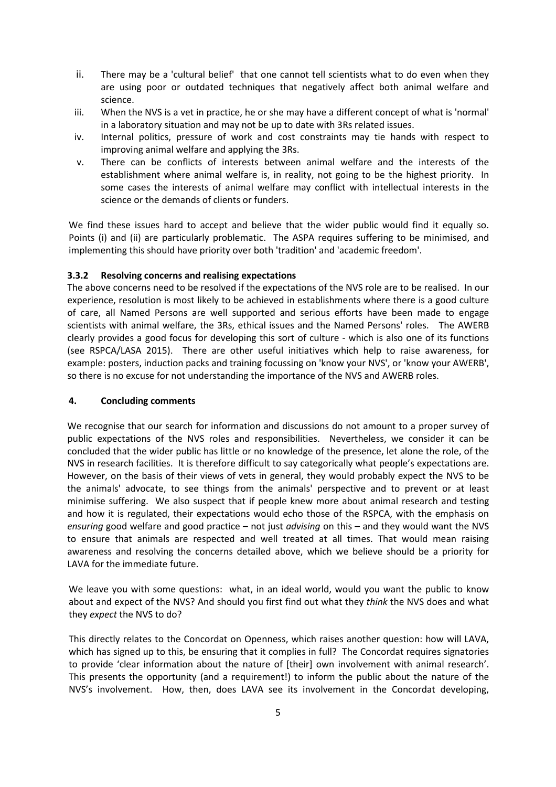- ii. There may be a 'cultural belief' that one cannot tell scientists what to do even when they are using poor or outdated techniques that negatively affect both animal welfare and science.
- iii. When the NVS is a vet in practice, he or she may have a different concept of what is 'normal' in a laboratory situation and may not be up to date with 3Rs related issues.
- iv. Internal politics, pressure of work and cost constraints may tie hands with respect to improving animal welfare and applying the 3Rs.
- v. There can be conflicts of interests between animal welfare and the interests of the establishment where animal welfare is, in reality, not going to be the highest priority. In some cases the interests of animal welfare may conflict with intellectual interests in the science or the demands of clients or funders.

We find these issues hard to accept and believe that the wider public would find it equally so. Points (i) and (ii) are particularly problematic. The ASPA requires suffering to be minimised, and implementing this should have priority over both 'tradition' and 'academic freedom'.

## **3.3.2 Resolving concerns and realising expectations**

The above concerns need to be resolved if the expectations of the NVS role are to be realised. In our experience, resolution is most likely to be achieved in establishments where there is a good culture of care, all Named Persons are well supported and serious efforts have been made to engage scientists with animal welfare, the 3Rs, ethical issues and the Named Persons' roles. The AWERB clearly provides a good focus for developing this sort of culture - which is also one of its functions (see RSPCA/LASA 2015). There are other useful initiatives which help to raise awareness, for example: posters, induction packs and training focussing on 'know your NVS', or 'know your AWERB', so there is no excuse for not understanding the importance of the NVS and AWERB roles.

#### **4. Concluding comments**

We recognise that our search for information and discussions do not amount to a proper survey of public expectations of the NVS roles and responsibilities. Nevertheless, we consider it can be concluded that the wider public has little or no knowledge of the presence, let alone the role, of the NVS in research facilities. It is therefore difficult to say categorically what people's expectations are. However, on the basis of their views of vets in general, they would probably expect the NVS to be the animals' advocate, to see things from the animals' perspective and to prevent or at least minimise suffering. We also suspect that if people knew more about animal research and testing and how it is regulated, their expectations would echo those of the RSPCA, with the emphasis on *ensuring* good welfare and good practice – not just *advising* on this – and they would want the NVS to ensure that animals are respected and well treated at all times. That would mean raising awareness and resolving the concerns detailed above, which we believe should be a priority for LAVA for the immediate future.

We leave you with some questions: what, in an ideal world, would you want the public to know about and expect of the NVS? And should you first find out what they *think* the NVS does and what they *expect* the NVS to do?

This directly relates to the Concordat on Openness, which raises another question: how will LAVA, which has signed up to this, be ensuring that it complies in full? The Concordat requires signatories to provide 'clear information about the nature of [their] own involvement with animal research'. This presents the opportunity (and a requirement!) to inform the public about the nature of the NVS's involvement. How, then, does LAVA see its involvement in the Concordat developing,